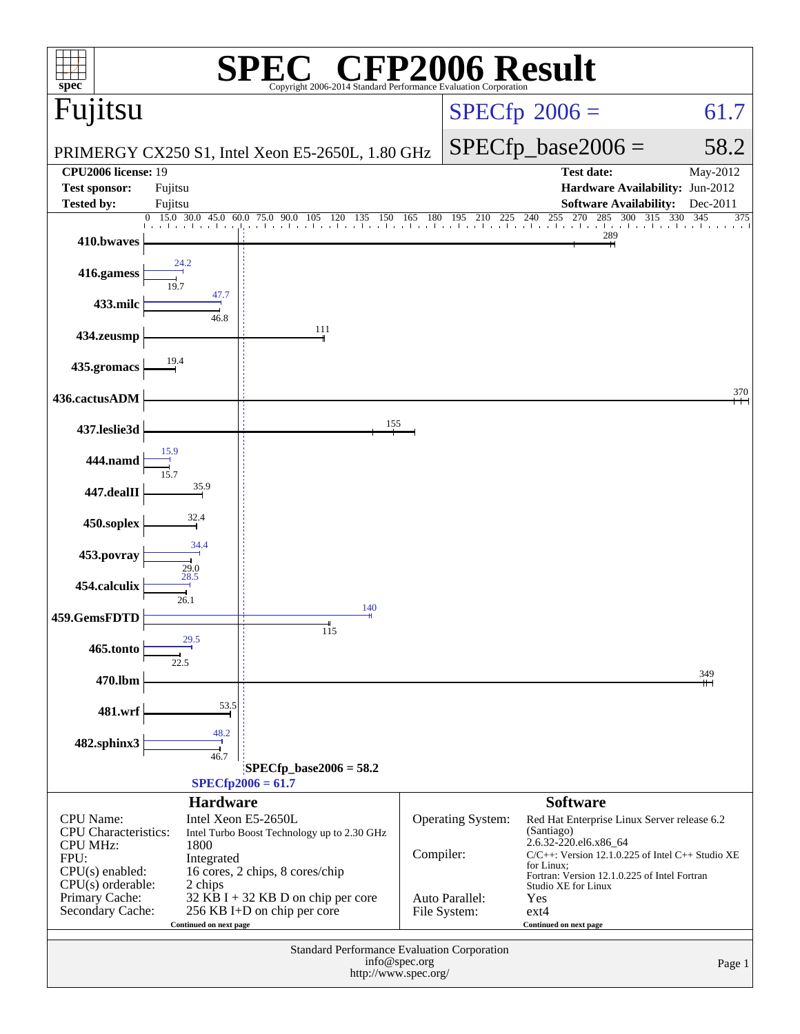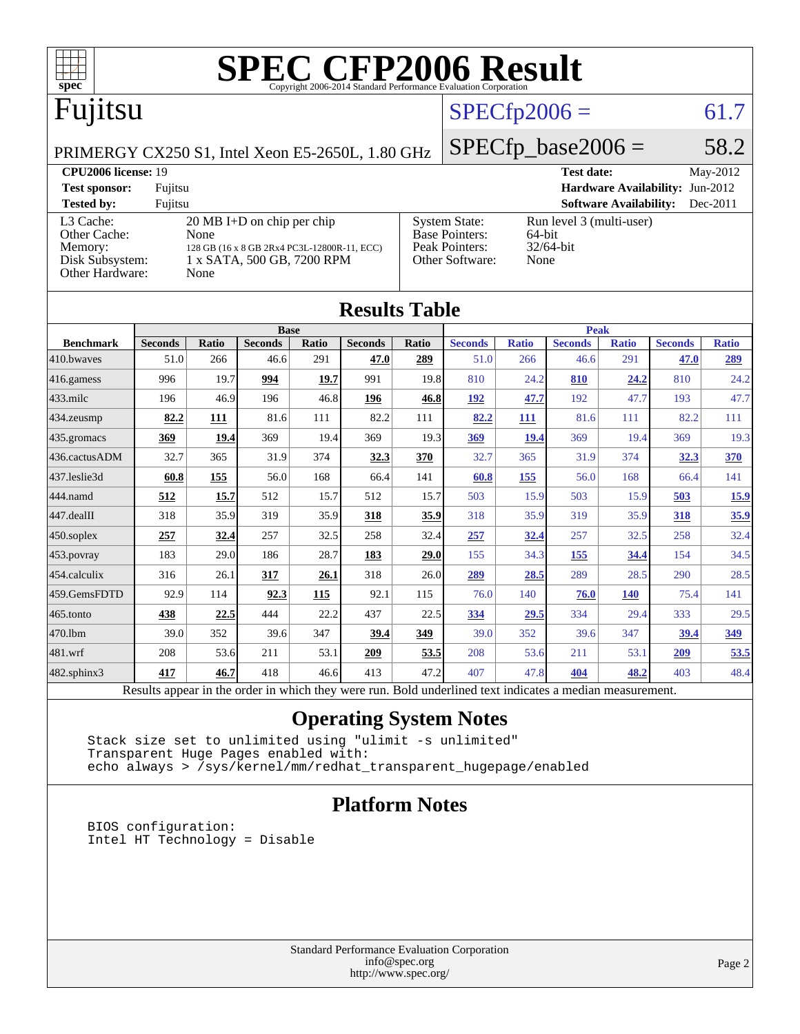

#### **[Test sponsor:](http://www.spec.org/auto/cpu2006/Docs/result-fields.html#Testsponsor)** Fujitsu **[Hardware Availability:](http://www.spec.org/auto/cpu2006/Docs/result-fields.html#HardwareAvailability)** Jun-2012 **[Tested by:](http://www.spec.org/auto/cpu2006/Docs/result-fields.html#Testedby)** Fujitsu **[Software Availability:](http://www.spec.org/auto/cpu2006/Docs/result-fields.html#SoftwareAvailability)** Dec-2011 [L3 Cache:](http://www.spec.org/auto/cpu2006/Docs/result-fields.html#L3Cache) 20 MB I+D on chip per chip<br>Other Cache: None [Other Cache:](http://www.spec.org/auto/cpu2006/Docs/result-fields.html#OtherCache) [Memory:](http://www.spec.org/auto/cpu2006/Docs/result-fields.html#Memory) 128 GB (16 x 8 GB 2Rx4 PC3L-12800R-11, ECC) [Disk Subsystem:](http://www.spec.org/auto/cpu2006/Docs/result-fields.html#DiskSubsystem) 1 x SATA, 500 GB, 7200 RPM [Other Hardware:](http://www.spec.org/auto/cpu2006/Docs/result-fields.html#OtherHardware) None [System State:](http://www.spec.org/auto/cpu2006/Docs/result-fields.html#SystemState) Run level 3 (multi-user)<br>Base Pointers: 64-bit [Base Pointers:](http://www.spec.org/auto/cpu2006/Docs/result-fields.html#BasePointers) 64-bit<br>Peak Pointers: 32/64-bit [Peak Pointers:](http://www.spec.org/auto/cpu2006/Docs/result-fields.html#PeakPointers) 32/64<br>Other Software: None [Other Software:](http://www.spec.org/auto/cpu2006/Docs/result-fields.html#OtherSoftware)

**[Results Table](http://www.spec.org/auto/cpu2006/Docs/result-fields.html#ResultsTable)**

| Results Table          |                                                                                                          |       |                |       |                |       |                |              |                |              |                |              |
|------------------------|----------------------------------------------------------------------------------------------------------|-------|----------------|-------|----------------|-------|----------------|--------------|----------------|--------------|----------------|--------------|
|                        | <b>Base</b>                                                                                              |       |                |       |                | Peak  |                |              |                |              |                |              |
| <b>Benchmark</b>       | <b>Seconds</b>                                                                                           | Ratio | <b>Seconds</b> | Ratio | <b>Seconds</b> | Ratio | <b>Seconds</b> | <b>Ratio</b> | <b>Seconds</b> | <b>Ratio</b> | <b>Seconds</b> | <b>Ratio</b> |
| 410.bwayes             | 51.0                                                                                                     | 266   | 46.6           | 291   | 47.0           | 289   | 51.0           | 266          | 46.6           | 291          | 47.0           | <u>289</u>   |
| $416$ .gamess          | 996                                                                                                      | 19.7  | 994            | 19.7  | 991            | 19.8  | 810            | 24.2         | 810            | 24.2         | 810            | 24.2         |
| $433$ .milc            | 196                                                                                                      | 46.9  | 196            | 46.8  | 196            | 46.8  | <u> 192</u>    | 47.7         | 192            | 47.7         | 193            | 47.7         |
| 434.zeusmp             | 82.2                                                                                                     | 111   | 81.6           | 111   | 82.2           | 111   | 82.2           | 111          | 81.6           | 111          | 82.2           | 111          |
| $435$ .gromacs         | 369                                                                                                      | 19.4  | 369            | 19.4  | 369            | 19.3  | 369            | 19.4         | 369            | 19.4         | 369            | 19.3         |
| 436.cactusADM          | 32.7                                                                                                     | 365   | 31.9           | 374   | 32.3           | 370   | 32.7           | 365          | 31.9           | 374          | 32.3           | 370          |
| 437.leslie3d           | 60.8                                                                                                     | 155   | 56.0           | 168   | 66.4           | 141   | 60.8           | 155          | 56.0           | 168          | 66.4           | 141          |
| 444.namd               | 512                                                                                                      | 15.7  | 512            | 15.7  | 512            | 15.7  | 503            | 15.9         | 503            | 15.9         | 503            | <u>15.9</u>  |
| $ 447 \text{.}$ dealII | 318                                                                                                      | 35.9  | 319            | 35.9  | 318            | 35.9  | 318            | 35.9         | 319            | 35.9         | 318            | 35.9         |
| 450.soplex             | 257                                                                                                      | 32.4  | 257            | 32.5  | 258            | 32.4  | 257            | 32.4         | 257            | 32.5         | 258            | 32.4         |
| 453.povray             | 183                                                                                                      | 29.0  | 186            | 28.7  | 183            | 29.0  | 155            | 34.3         | 155            | 34.4         | 154            | 34.5         |
| $ 454$ .calculix       | 316                                                                                                      | 26.1  | 317            | 26.1  | 318            | 26.0  | 289            | 28.5         | 289            | 28.5         | 290            | 28.5         |
| 459.GemsFDTD           | 92.9                                                                                                     | 114   | 92.3           | 115   | 92.1           | 115   | 76.0           | 140          | 76.0           | <b>140</b>   | 75.4           | 141          |
| 465.tonto              | 438                                                                                                      | 22.5  | 444            | 22.2  | 437            | 22.5  | 334            | 29.5         | 334            | 29.4         | 333            | 29.5         |
| 470.1bm                | 39.0                                                                                                     | 352   | 39.6           | 347   | 39.4           | 349   | 39.0           | 352          | 39.6           | 347          | 39.4           | 349          |
| 481.wrf                | 208                                                                                                      | 53.6  | 211            | 53.1  | 209            | 53.5  | 208            | 53.6         | 211            | 53.1         | 209            | 53.5         |
| 482.sphinx3            | 417                                                                                                      | 46.7  | 418            | 46.6  | 413            | 47.2  | 407            | 47.8         | 404            | 48.2         | 403            | 48.4         |
|                        | Results appear in the order in which they were run. Bold underlined text indicates a median measurement. |       |                |       |                |       |                |              |                |              |                |              |

#### **[Operating System Notes](http://www.spec.org/auto/cpu2006/Docs/result-fields.html#OperatingSystemNotes)**

 Stack size set to unlimited using "ulimit -s unlimited" Transparent Huge Pages enabled with: echo always > /sys/kernel/mm/redhat\_transparent\_hugepage/enabled

#### **[Platform Notes](http://www.spec.org/auto/cpu2006/Docs/result-fields.html#PlatformNotes)**

 BIOS configuration: Intel HT Technology = Disable

> Standard Performance Evaluation Corporation [info@spec.org](mailto:info@spec.org) <http://www.spec.org/>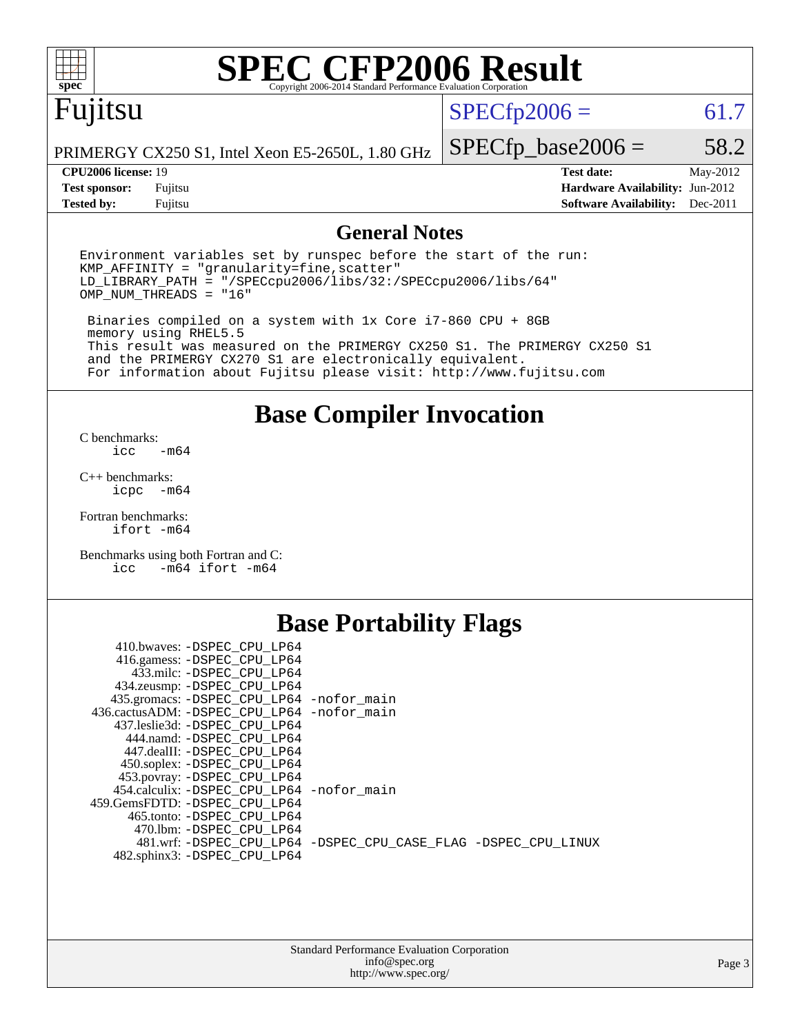

# **[SPEC CFP2006 Result](http://www.spec.org/auto/cpu2006/Docs/result-fields.html#SPECCFP2006Result)**

# Fujitsu

### $SPECfp2006 = 61.7$  $SPECfp2006 = 61.7$

PRIMERGY CX250 S1, Intel Xeon E5-2650L, 1.80 GHz

**[Tested by:](http://www.spec.org/auto/cpu2006/Docs/result-fields.html#Testedby)** Fujitsu **[Software Availability:](http://www.spec.org/auto/cpu2006/Docs/result-fields.html#SoftwareAvailability)** Dec-2011

 $SPECfp\_base2006 = 58.2$ **[CPU2006 license:](http://www.spec.org/auto/cpu2006/Docs/result-fields.html#CPU2006license)** 19 **[Test date:](http://www.spec.org/auto/cpu2006/Docs/result-fields.html#Testdate)** May-2012 **[Test sponsor:](http://www.spec.org/auto/cpu2006/Docs/result-fields.html#Testsponsor)** Fujitsu **[Hardware Availability:](http://www.spec.org/auto/cpu2006/Docs/result-fields.html#HardwareAvailability)** Jun-2012

#### **[General Notes](http://www.spec.org/auto/cpu2006/Docs/result-fields.html#GeneralNotes)**

Environment variables set by runspec before the start of the run:  $KMP$  AFFINITY = "granularity=fine, scatter" LD\_LIBRARY\_PATH = "/SPECcpu2006/libs/32:/SPECcpu2006/libs/64" OMP\_NUM\_THREADS = "16"

 Binaries compiled on a system with 1x Core i7-860 CPU + 8GB memory using RHEL5.5 This result was measured on the PRIMERGY CX250 S1. The PRIMERGY CX250 S1 and the PRIMERGY CX270 S1 are electronically equivalent. For information about Fujitsu please visit: <http://www.fujitsu.com>

**[Base Compiler Invocation](http://www.spec.org/auto/cpu2006/Docs/result-fields.html#BaseCompilerInvocation)**

[C benchmarks](http://www.spec.org/auto/cpu2006/Docs/result-fields.html#Cbenchmarks):  $-m64$ 

[C++ benchmarks:](http://www.spec.org/auto/cpu2006/Docs/result-fields.html#CXXbenchmarks) [icpc -m64](http://www.spec.org/cpu2006/results/res2012q3/cpu2006-20120605-22770.flags.html#user_CXXbase_intel_icpc_64bit_bedb90c1146cab66620883ef4f41a67e)

[Fortran benchmarks](http://www.spec.org/auto/cpu2006/Docs/result-fields.html#Fortranbenchmarks): [ifort -m64](http://www.spec.org/cpu2006/results/res2012q3/cpu2006-20120605-22770.flags.html#user_FCbase_intel_ifort_64bit_ee9d0fb25645d0210d97eb0527dcc06e)

[Benchmarks using both Fortran and C](http://www.spec.org/auto/cpu2006/Docs/result-fields.html#BenchmarksusingbothFortranandC): [icc -m64](http://www.spec.org/cpu2006/results/res2012q3/cpu2006-20120605-22770.flags.html#user_CC_FCbase_intel_icc_64bit_0b7121f5ab7cfabee23d88897260401c) [ifort -m64](http://www.spec.org/cpu2006/results/res2012q3/cpu2006-20120605-22770.flags.html#user_CC_FCbase_intel_ifort_64bit_ee9d0fb25645d0210d97eb0527dcc06e)

### **[Base Portability Flags](http://www.spec.org/auto/cpu2006/Docs/result-fields.html#BasePortabilityFlags)**

| 410.bwaves: -DSPEC CPU LP64<br>416.gamess: -DSPEC_CPU_LP64<br>433.milc: -DSPEC CPU LP64 |                                                                |
|-----------------------------------------------------------------------------------------|----------------------------------------------------------------|
| 434.zeusmp: - DSPEC_CPU_LP64                                                            |                                                                |
| 435.gromacs: -DSPEC_CPU_LP64 -nofor_main                                                |                                                                |
| 436.cactusADM: -DSPEC CPU LP64 -nofor main                                              |                                                                |
| 437.leslie3d: -DSPEC CPU LP64                                                           |                                                                |
| 444.namd: -DSPEC CPU LP64                                                               |                                                                |
| 447.dealII: -DSPEC_CPU LP64                                                             |                                                                |
| 450.soplex: -DSPEC_CPU_LP64                                                             |                                                                |
| 453.povray: -DSPEC_CPU_LP64                                                             |                                                                |
| 454.calculix: - DSPEC CPU LP64 - nofor main                                             |                                                                |
| 459. GemsFDTD: - DSPEC CPU LP64                                                         |                                                                |
| 465.tonto: - DSPEC CPU LP64                                                             |                                                                |
| 470.1bm: - DSPEC CPU LP64                                                               |                                                                |
|                                                                                         | 481.wrf: -DSPEC CPU_LP64 -DSPEC_CPU_CASE_FLAG -DSPEC_CPU_LINUX |
| 482.sphinx3: -DSPEC_CPU_LP64                                                            |                                                                |
|                                                                                         |                                                                |

| <b>Standard Performance Evaluation Corporation</b> |
|----------------------------------------------------|
| info@spec.org                                      |
| http://www.spec.org/                               |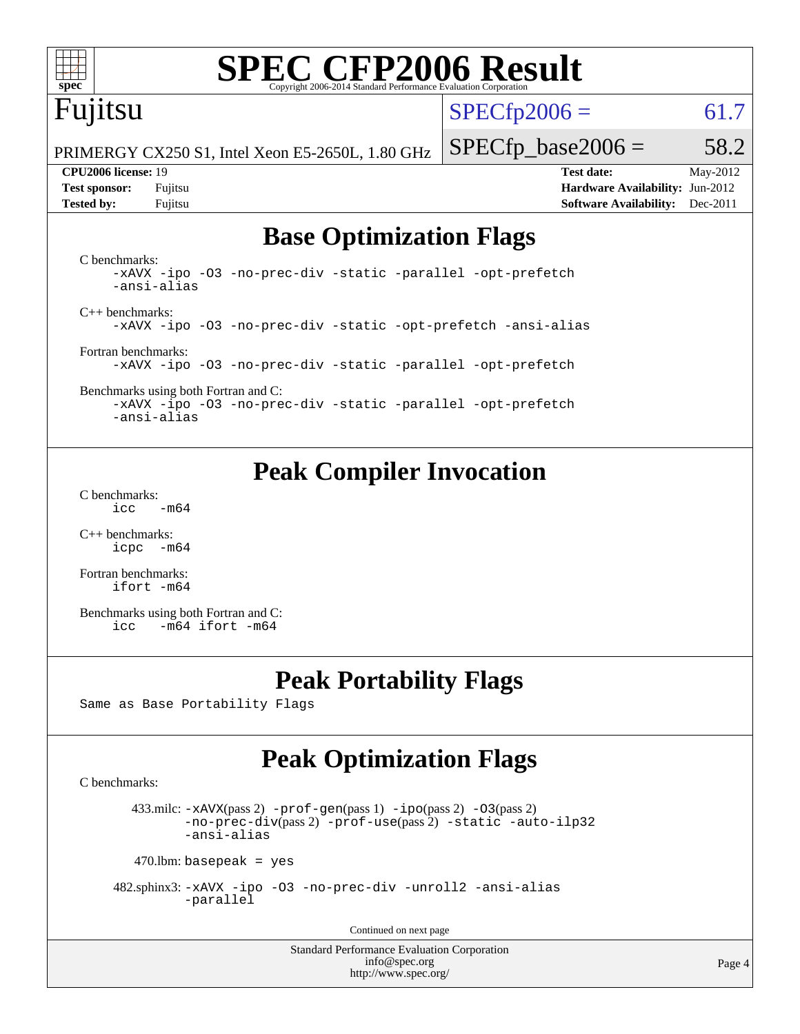

# **[SPEC CFP2006 Result](http://www.spec.org/auto/cpu2006/Docs/result-fields.html#SPECCFP2006Result)**

# Fujitsu

 $SPECfp2006 = 61.7$  $SPECfp2006 = 61.7$ 

PRIMERGY CX250 S1, Intel Xeon E5-2650L, 1.80 GHz

#### **[CPU2006 license:](http://www.spec.org/auto/cpu2006/Docs/result-fields.html#CPU2006license)** 19 **[Test date:](http://www.spec.org/auto/cpu2006/Docs/result-fields.html#Testdate)** May-2012

 $SPECTp\_base2006 = 58.2$ 

**[Test sponsor:](http://www.spec.org/auto/cpu2006/Docs/result-fields.html#Testsponsor)** Fujitsu **[Hardware Availability:](http://www.spec.org/auto/cpu2006/Docs/result-fields.html#HardwareAvailability)** Jun-2012 **[Tested by:](http://www.spec.org/auto/cpu2006/Docs/result-fields.html#Testedby)** Fujitsu **[Software Availability:](http://www.spec.org/auto/cpu2006/Docs/result-fields.html#SoftwareAvailability)** Dec-2011

## **[Base Optimization Flags](http://www.spec.org/auto/cpu2006/Docs/result-fields.html#BaseOptimizationFlags)**

[C benchmarks](http://www.spec.org/auto/cpu2006/Docs/result-fields.html#Cbenchmarks): [-xAVX](http://www.spec.org/cpu2006/results/res2012q3/cpu2006-20120605-22770.flags.html#user_CCbase_f-xAVX) [-ipo](http://www.spec.org/cpu2006/results/res2012q3/cpu2006-20120605-22770.flags.html#user_CCbase_f-ipo) [-O3](http://www.spec.org/cpu2006/results/res2012q3/cpu2006-20120605-22770.flags.html#user_CCbase_f-O3) [-no-prec-div](http://www.spec.org/cpu2006/results/res2012q3/cpu2006-20120605-22770.flags.html#user_CCbase_f-no-prec-div) [-static](http://www.spec.org/cpu2006/results/res2012q3/cpu2006-20120605-22770.flags.html#user_CCbase_f-static) [-parallel](http://www.spec.org/cpu2006/results/res2012q3/cpu2006-20120605-22770.flags.html#user_CCbase_f-parallel) [-opt-prefetch](http://www.spec.org/cpu2006/results/res2012q3/cpu2006-20120605-22770.flags.html#user_CCbase_f-opt-prefetch) [-ansi-alias](http://www.spec.org/cpu2006/results/res2012q3/cpu2006-20120605-22770.flags.html#user_CCbase_f-ansi-alias) [C++ benchmarks:](http://www.spec.org/auto/cpu2006/Docs/result-fields.html#CXXbenchmarks) [-xAVX](http://www.spec.org/cpu2006/results/res2012q3/cpu2006-20120605-22770.flags.html#user_CXXbase_f-xAVX) [-ipo](http://www.spec.org/cpu2006/results/res2012q3/cpu2006-20120605-22770.flags.html#user_CXXbase_f-ipo) [-O3](http://www.spec.org/cpu2006/results/res2012q3/cpu2006-20120605-22770.flags.html#user_CXXbase_f-O3) [-no-prec-div](http://www.spec.org/cpu2006/results/res2012q3/cpu2006-20120605-22770.flags.html#user_CXXbase_f-no-prec-div) [-static](http://www.spec.org/cpu2006/results/res2012q3/cpu2006-20120605-22770.flags.html#user_CXXbase_f-static) [-opt-prefetch](http://www.spec.org/cpu2006/results/res2012q3/cpu2006-20120605-22770.flags.html#user_CXXbase_f-opt-prefetch) [-ansi-alias](http://www.spec.org/cpu2006/results/res2012q3/cpu2006-20120605-22770.flags.html#user_CXXbase_f-ansi-alias) [Fortran benchmarks](http://www.spec.org/auto/cpu2006/Docs/result-fields.html#Fortranbenchmarks): [-xAVX](http://www.spec.org/cpu2006/results/res2012q3/cpu2006-20120605-22770.flags.html#user_FCbase_f-xAVX) [-ipo](http://www.spec.org/cpu2006/results/res2012q3/cpu2006-20120605-22770.flags.html#user_FCbase_f-ipo) [-O3](http://www.spec.org/cpu2006/results/res2012q3/cpu2006-20120605-22770.flags.html#user_FCbase_f-O3) [-no-prec-div](http://www.spec.org/cpu2006/results/res2012q3/cpu2006-20120605-22770.flags.html#user_FCbase_f-no-prec-div) [-static](http://www.spec.org/cpu2006/results/res2012q3/cpu2006-20120605-22770.flags.html#user_FCbase_f-static) [-parallel](http://www.spec.org/cpu2006/results/res2012q3/cpu2006-20120605-22770.flags.html#user_FCbase_f-parallel) [-opt-prefetch](http://www.spec.org/cpu2006/results/res2012q3/cpu2006-20120605-22770.flags.html#user_FCbase_f-opt-prefetch)

[Benchmarks using both Fortran and C](http://www.spec.org/auto/cpu2006/Docs/result-fields.html#BenchmarksusingbothFortranandC): [-xAVX](http://www.spec.org/cpu2006/results/res2012q3/cpu2006-20120605-22770.flags.html#user_CC_FCbase_f-xAVX) [-ipo](http://www.spec.org/cpu2006/results/res2012q3/cpu2006-20120605-22770.flags.html#user_CC_FCbase_f-ipo) [-O3](http://www.spec.org/cpu2006/results/res2012q3/cpu2006-20120605-22770.flags.html#user_CC_FCbase_f-O3) [-no-prec-div](http://www.spec.org/cpu2006/results/res2012q3/cpu2006-20120605-22770.flags.html#user_CC_FCbase_f-no-prec-div) [-static](http://www.spec.org/cpu2006/results/res2012q3/cpu2006-20120605-22770.flags.html#user_CC_FCbase_f-static) [-parallel](http://www.spec.org/cpu2006/results/res2012q3/cpu2006-20120605-22770.flags.html#user_CC_FCbase_f-parallel) [-opt-prefetch](http://www.spec.org/cpu2006/results/res2012q3/cpu2006-20120605-22770.flags.html#user_CC_FCbase_f-opt-prefetch)

[-ansi-alias](http://www.spec.org/cpu2006/results/res2012q3/cpu2006-20120605-22770.flags.html#user_CC_FCbase_f-ansi-alias)

# **[Peak Compiler Invocation](http://www.spec.org/auto/cpu2006/Docs/result-fields.html#PeakCompilerInvocation)**

[C benchmarks](http://www.spec.org/auto/cpu2006/Docs/result-fields.html#Cbenchmarks):  $\text{icc}$  -m64

[C++ benchmarks:](http://www.spec.org/auto/cpu2006/Docs/result-fields.html#CXXbenchmarks) [icpc -m64](http://www.spec.org/cpu2006/results/res2012q3/cpu2006-20120605-22770.flags.html#user_CXXpeak_intel_icpc_64bit_bedb90c1146cab66620883ef4f41a67e)

[Fortran benchmarks](http://www.spec.org/auto/cpu2006/Docs/result-fields.html#Fortranbenchmarks): [ifort -m64](http://www.spec.org/cpu2006/results/res2012q3/cpu2006-20120605-22770.flags.html#user_FCpeak_intel_ifort_64bit_ee9d0fb25645d0210d97eb0527dcc06e)

[Benchmarks using both Fortran and C](http://www.spec.org/auto/cpu2006/Docs/result-fields.html#BenchmarksusingbothFortranandC): [icc -m64](http://www.spec.org/cpu2006/results/res2012q3/cpu2006-20120605-22770.flags.html#user_CC_FCpeak_intel_icc_64bit_0b7121f5ab7cfabee23d88897260401c) [ifort -m64](http://www.spec.org/cpu2006/results/res2012q3/cpu2006-20120605-22770.flags.html#user_CC_FCpeak_intel_ifort_64bit_ee9d0fb25645d0210d97eb0527dcc06e)

# **[Peak Portability Flags](http://www.spec.org/auto/cpu2006/Docs/result-fields.html#PeakPortabilityFlags)**

Same as Base Portability Flags

# **[Peak Optimization Flags](http://www.spec.org/auto/cpu2006/Docs/result-fields.html#PeakOptimizationFlags)**

[C benchmarks](http://www.spec.org/auto/cpu2006/Docs/result-fields.html#Cbenchmarks):

433.milc:  $-x$ AVX(pass 2)  $-p$ rof-gen(pass 1)  $-p$ po(pass 2)  $-03$ (pass 2) [-no-prec-div](http://www.spec.org/cpu2006/results/res2012q3/cpu2006-20120605-22770.flags.html#user_peakPASS2_CFLAGSPASS2_LDFLAGS433_milc_f-no-prec-div)(pass 2) [-prof-use](http://www.spec.org/cpu2006/results/res2012q3/cpu2006-20120605-22770.flags.html#user_peakPASS2_CFLAGSPASS2_LDFLAGS433_milc_prof_use_bccf7792157ff70d64e32fe3e1250b55)(pass 2) [-static](http://www.spec.org/cpu2006/results/res2012q3/cpu2006-20120605-22770.flags.html#user_peakOPTIMIZE433_milc_f-static) [-auto-ilp32](http://www.spec.org/cpu2006/results/res2012q3/cpu2006-20120605-22770.flags.html#user_peakCOPTIMIZE433_milc_f-auto-ilp32) [-ansi-alias](http://www.spec.org/cpu2006/results/res2012q3/cpu2006-20120605-22770.flags.html#user_peakCOPTIMIZE433_milc_f-ansi-alias)

 $470$ .lbm: basepeak = yes

 482.sphinx3: [-xAVX](http://www.spec.org/cpu2006/results/res2012q3/cpu2006-20120605-22770.flags.html#user_peakOPTIMIZE482_sphinx3_f-xAVX) [-ipo](http://www.spec.org/cpu2006/results/res2012q3/cpu2006-20120605-22770.flags.html#user_peakOPTIMIZE482_sphinx3_f-ipo) [-O3](http://www.spec.org/cpu2006/results/res2012q3/cpu2006-20120605-22770.flags.html#user_peakOPTIMIZE482_sphinx3_f-O3) [-no-prec-div](http://www.spec.org/cpu2006/results/res2012q3/cpu2006-20120605-22770.flags.html#user_peakOPTIMIZE482_sphinx3_f-no-prec-div) [-unroll2](http://www.spec.org/cpu2006/results/res2012q3/cpu2006-20120605-22770.flags.html#user_peakCOPTIMIZE482_sphinx3_f-unroll_784dae83bebfb236979b41d2422d7ec2) [-ansi-alias](http://www.spec.org/cpu2006/results/res2012q3/cpu2006-20120605-22770.flags.html#user_peakCOPTIMIZE482_sphinx3_f-ansi-alias) [-parallel](http://www.spec.org/cpu2006/results/res2012q3/cpu2006-20120605-22770.flags.html#user_peakCOPTIMIZE482_sphinx3_f-parallel)

Continued on next page

Standard Performance Evaluation Corporation [info@spec.org](mailto:info@spec.org) <http://www.spec.org/>

Page 4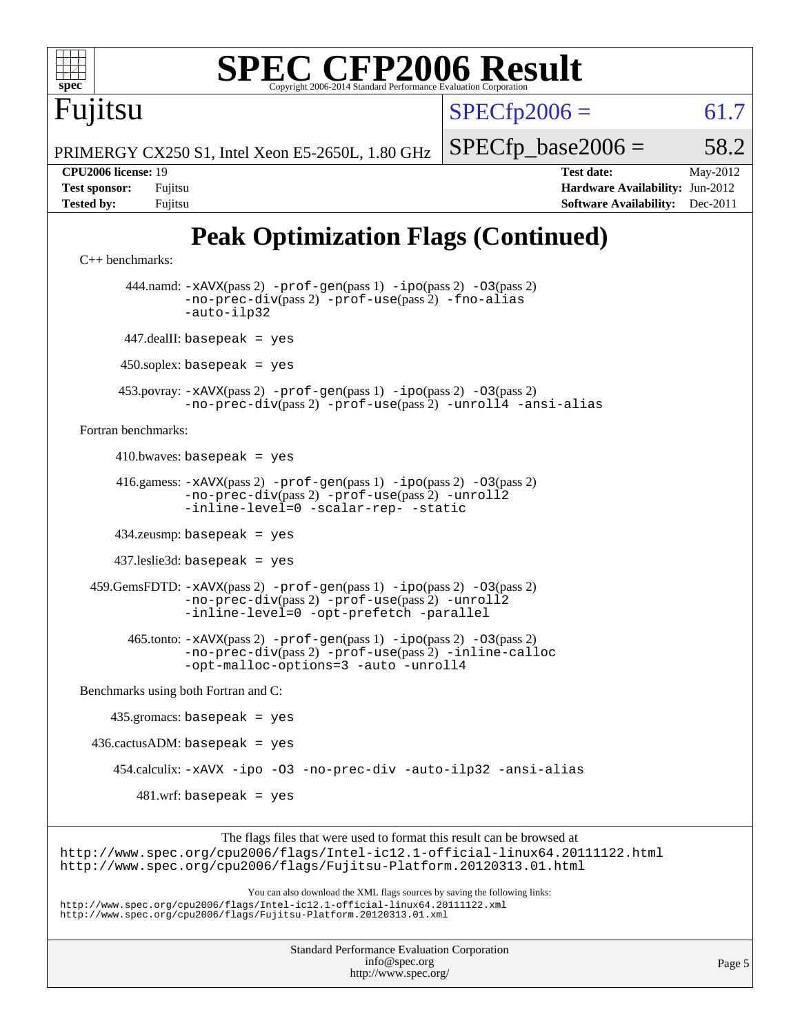

[Benchmarks using both Fortran and C](http://www.spec.org/auto/cpu2006/Docs/result-fields.html#BenchmarksusingbothFortranandC):

 435.gromacs: basepeak = yes  $436.cactusADM: basepeak = yes$  454.calculix: [-xAVX](http://www.spec.org/cpu2006/results/res2012q3/cpu2006-20120605-22770.flags.html#user_peakOPTIMIZE454_calculix_f-xAVX) [-ipo](http://www.spec.org/cpu2006/results/res2012q3/cpu2006-20120605-22770.flags.html#user_peakOPTIMIZE454_calculix_f-ipo) [-O3](http://www.spec.org/cpu2006/results/res2012q3/cpu2006-20120605-22770.flags.html#user_peakOPTIMIZE454_calculix_f-O3) [-no-prec-div](http://www.spec.org/cpu2006/results/res2012q3/cpu2006-20120605-22770.flags.html#user_peakOPTIMIZE454_calculix_f-no-prec-div) [-auto-ilp32](http://www.spec.org/cpu2006/results/res2012q3/cpu2006-20120605-22770.flags.html#user_peakCOPTIMIZE454_calculix_f-auto-ilp32) [-ansi-alias](http://www.spec.org/cpu2006/results/res2012q3/cpu2006-20120605-22770.flags.html#user_peakCOPTIMIZE454_calculix_f-ansi-alias)  $481.wrf:$  basepeak = yes

The flags files that were used to format this result can be browsed at <http://www.spec.org/cpu2006/flags/Intel-ic12.1-official-linux64.20111122.html> <http://www.spec.org/cpu2006/flags/Fujitsu-Platform.20120313.01.html>

You can also download the XML flags sources by saving the following links: <http://www.spec.org/cpu2006/flags/Intel-ic12.1-official-linux64.20111122.xml> <http://www.spec.org/cpu2006/flags/Fujitsu-Platform.20120313.01.xml>

> Standard Performance Evaluation Corporation [info@spec.org](mailto:info@spec.org) <http://www.spec.org/>